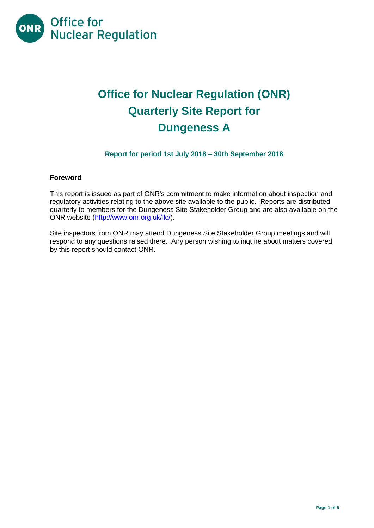

# **Office for Nuclear Regulation (ONR) Quarterly Site Report for Dungeness A**

# **Report for period 1st July 2018 – 30th September 2018**

#### **Foreword**

This report is issued as part of ONR's commitment to make information about inspection and regulatory activities relating to the above site available to the public. Reports are distributed quarterly to members for the Dungeness Site Stakeholder Group and are also available on the ONR website [\(http://www.onr.org.uk/llc/\)](http://www.onr.org.uk/llc/).

Site inspectors from ONR may attend Dungeness Site Stakeholder Group meetings and will respond to any questions raised there. Any person wishing to inquire about matters covered by this report should contact ONR.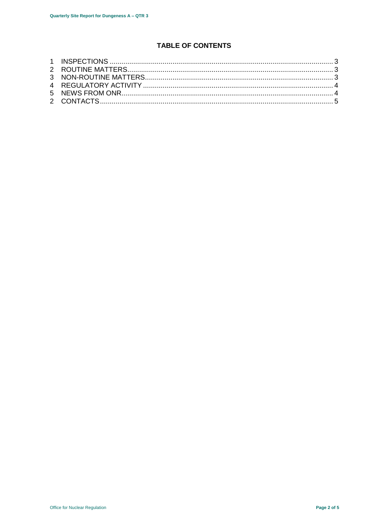# **TABLE OF CONTENTS**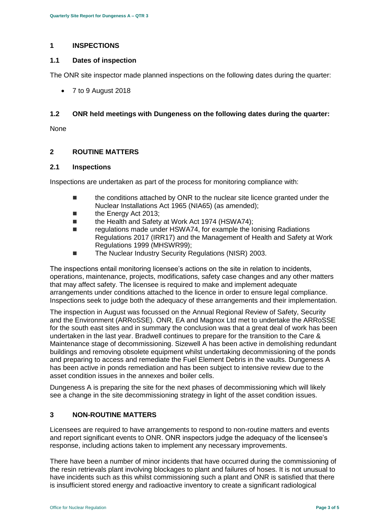#### <span id="page-2-0"></span>**1 INSPECTIONS**

#### **1.1 Dates of inspection**

The ONR site inspector made planned inspections on the following dates during the quarter:

7 to 9 August 2018

#### **1.2 ONR held meetings with Dungeness on the following dates during the quarter:**

None

#### <span id="page-2-1"></span>**2 ROUTINE MATTERS**

#### **2.1 Inspections**

Inspections are undertaken as part of the process for monitoring compliance with:

- **the conditions attached by ONR to the nuclear site licence granted under the** Nuclear Installations Act 1965 (NIA65) (as amended);
- the Energy Act 2013;
- the Health and Safety at Work Act 1974 (HSWA74):
- regulations made under HSWA74, for example the Ionising Radiations Regulations 2017 (IRR17) and the Management of Health and Safety at Work Regulations 1999 (MHSWR99);
- The Nuclear Industry Security Regulations (NISR) 2003.

The inspections entail monitoring licensee's actions on the site in relation to incidents, operations, maintenance, projects, modifications, safety case changes and any other matters that may affect safety. The licensee is required to make and implement adequate arrangements under conditions attached to the licence in order to ensure legal compliance. Inspections seek to judge both the adequacy of these arrangements and their implementation.

The inspection in August was focussed on the Annual Regional Review of Safety, Security and the Environment (ARRoSSE). ONR, EA and Magnox Ltd met to undertake the ARRoSSE for the south east sites and in summary the conclusion was that a great deal of work has been undertaken in the last year. Bradwell continues to prepare for the transition to the Care & Maintenance stage of decommissioning. Sizewell A has been active in demolishing redundant buildings and removing obsolete equipment whilst undertaking decommissioning of the ponds and preparing to access and remediate the Fuel Element Debris in the vaults. Dungeness A has been active in ponds remediation and has been subject to intensive review due to the asset condition issues in the annexes and boiler cells.

Dungeness A is preparing the site for the next phases of decommissioning which will likely see a change in the site decommissioning strategy in light of the asset condition issues.

### <span id="page-2-2"></span>**3 NON-ROUTINE MATTERS**

Licensees are required to have arrangements to respond to non-routine matters and events and report significant events to ONR. ONR inspectors judge the adequacy of the licensee's response, including actions taken to implement any necessary improvements.

There have been a number of minor incidents that have occurred during the commissioning of the resin retrievals plant involving blockages to plant and failures of hoses. It is not unusual to have incidents such as this whilst commissioning such a plant and ONR is satisfied that there is insufficient stored energy and radioactive inventory to create a significant radiological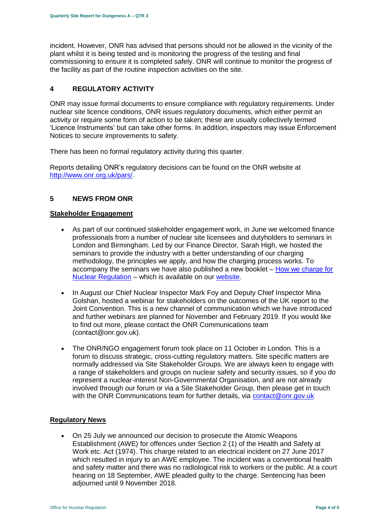incident. However, ONR has advised that persons should not be allowed in the vicinity of the plant whilst it is being tested and is monitoring the progress of the testing and final commissioning to ensure it is completed safely. ONR will continue to monitor the progress of the facility as part of the routine inspection activities on the site.

# <span id="page-3-0"></span>**4 REGULATORY ACTIVITY**

ONR may issue formal documents to ensure compliance with regulatory requirements. Under nuclear site licence conditions, ONR issues regulatory documents, which either permit an activity or require some form of action to be taken; these are usually collectively termed 'Licence Instruments' but can take other forms. In addition, inspectors may issue Enforcement Notices to secure improvements to safety.

There has been no formal regulatory activity during this quarter.

Reports detailing ONR's regulatory decisions can be found on the ONR website at [http://www.onr.org.uk/pars/.](http://www.onr.org.uk/pars/)

# <span id="page-3-1"></span>**5 NEWS FROM ONR**

#### **Stakeholder Engagement**

- As part of our continued stakeholder engagement work, in June we welcomed finance professionals from a number of nuclear site licensees and dutyholders to seminars in London and Birmingham. Led by our Finance Director, Sarah High, we hosted the seminars to provide the industry with a better understanding of our charging methodology, the principles we apply, and how the charging process works. To accompany the seminars we have also published a new booklet – [How we charge for](http://www.onr.org.uk/documents/2018/how-we-charge-for-nuclear-regulation.pdf)  [Nuclear Regulation](http://www.onr.org.uk/documents/2018/how-we-charge-for-nuclear-regulation.pdf) – which is available on our [website.](http://www.onr.org.uk/documents/2018/how-we-charge-for-nuclear-regulation.pdf)
- In August our Chief Nuclear Inspector Mark Foy and Deputy Chief Inspector Mina Golshan, hosted a webinar for stakeholders on the outcomes of the UK report to the Joint Convention. This is a new channel of communication which we have introduced and further webinars are planned for November and February 2019. If you would like to find out more, please contact the ONR Communications team (contact@onr.gov.uk).
- The ONR/NGO engagement forum took place on 11 October in London. This is a forum to discuss strategic, cross-cutting regulatory matters. Site specific matters are normally addressed via Site Stakeholder Groups. We are always keen to engage with a range of stakeholders and groups on nuclear safety and security issues, so if you do represent a nuclear-interest Non-Governmental Organisation, and are not already involved through our forum or via a Site Stakeholder Group, then please get in touch with the ONR Communications team for further details, via [contact@onr.gov.uk](mailto:contact@onr.gov.uk)

#### **Regulatory News**

 On 25 July we announced our decision to prosecute the Atomic Weapons Establishment (AWE) for offences under Section 2 (1) of the Health and Safety at Work etc. Act (1974). This charge related to an electrical incident on 27 June 2017 which resulted in injury to an AWE employee. The incident was a conventional health and safety matter and there was no radiological risk to workers or the public. At a court hearing on 18 September, AWE pleaded guilty to the charge. Sentencing has been adjourned until 9 November 2018.